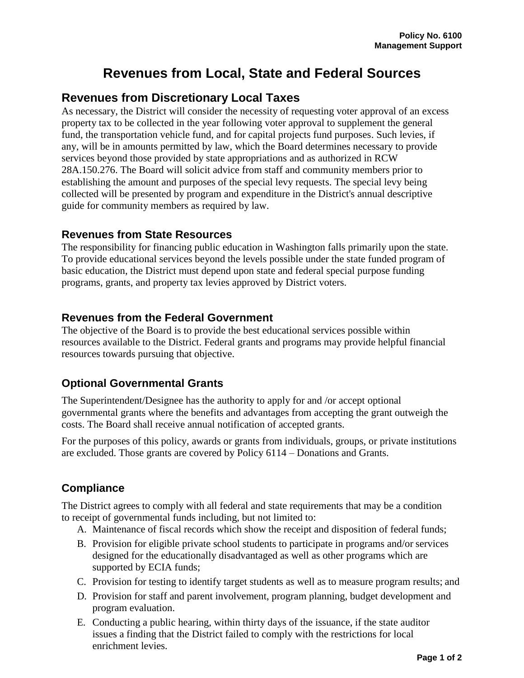# **Revenues from Local, State and Federal Sources**

## **Revenues from Discretionary Local Taxes**

As necessary, the District will consider the necessity of requesting voter approval of an excess property tax to be collected in the year following voter approval to supplement the general fund, the transportation vehicle fund, and for capital projects fund purposes. Such levies, if any, will be in amounts permitted by law, which the Board determines necessary to provide services beyond those provided by state appropriations and as authorized in RCW 28A.150.276. The Board will solicit advice from staff and community members prior to establishing the amount and purposes of the special levy requests. The special levy being collected will be presented by program and expenditure in the District's annual descriptive guide for community members as required by law.

#### **Revenues from State Resources**

The responsibility for financing public education in Washington falls primarily upon the state. To provide educational services beyond the levels possible under the state funded program of basic education, the District must depend upon state and federal special purpose funding programs, grants, and property tax levies approved by District voters.

#### **Revenues from the Federal Government**

The objective of the Board is to provide the best educational services possible within resources available to the District. Federal grants and programs may provide helpful financial resources towards pursuing that objective.

#### **Optional Governmental Grants**

The Superintendent/Designee has the authority to apply for and /or accept optional governmental grants where the benefits and advantages from accepting the grant outweigh the costs. The Board shall receive annual notification of accepted grants.

For the purposes of this policy, awards or grants from individuals, groups, or private institutions are excluded. Those grants are covered by Policy 6114 – Donations and Grants.

### **Compliance**

The District agrees to comply with all federal and state requirements that may be a condition to receipt of governmental funds including, but not limited to:

- A. Maintenance of fiscal records which show the receipt and disposition of federal funds;
- B. Provision for eligible private school students to participate in programs and/or services designed for the educationally disadvantaged as well as other programs which are supported by ECIA funds;
- C. Provision for testing to identify target students as well as to measure program results; and
- D. Provision for staff and parent involvement, program planning, budget development and program evaluation.
- E. Conducting a public hearing, within thirty days of the issuance, if the state auditor issues a finding that the District failed to comply with the restrictions for local enrichment levies.